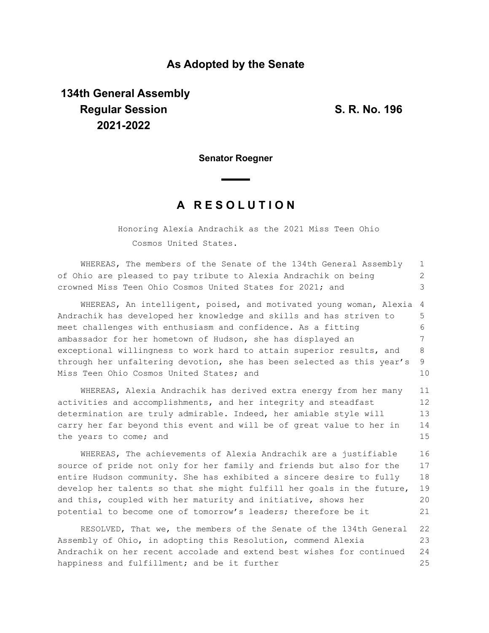## **As Adopted by the Senate**

## **134th General Assembly Regular Session S. R. No. 196 2021-2022**

**Senator Roegner**

## **A R E S O L U T I O N**

Honoring Alexia Andrachik as the 2021 Miss Teen Ohio Cosmos United States.

| WHEREAS, The members of the Senate of the 134th General Assembly       | $\mathbf{1}$ |
|------------------------------------------------------------------------|--------------|
| of Ohio are pleased to pay tribute to Alexia Andrachik on being        | 2            |
| crowned Miss Teen Ohio Cosmos United States for 2021; and              | 3            |
| WHEREAS, An intelligent, poised, and motivated young woman, Alexia     | 4            |
| Andrachik has developed her knowledge and skills and has striven to    | 5            |
| meet challenges with enthusiasm and confidence. As a fitting           | 6            |
| ambassador for her hometown of Hudson, she has displayed an            | 7            |
| exceptional willingness to work hard to attain superior results, and   | 8            |
| through her unfaltering devotion, she has been selected as this year's | 9            |
| Miss Teen Ohio Cosmos United States; and                               | 10           |
| WHEREAS, Alexia Andrachik has derived extra energy from her many       | 11           |
| activities and accomplishments, and her integrity and steadfast        | 12           |
| determination are truly admirable. Indeed, her amiable style will      | 13           |
| carry her far beyond this event and will be of great value to her in   | 14           |
| the years to come; and                                                 | 15           |
| WHEREAS, The achievements of Alexia Andrachik are a justifiable        | 16           |
| source of pride not only for her family and friends but also for the   | 17           |
| entire Hudson community. She has exhibited a sincere desire to fully   | 18           |
| develop her talents so that she might fulfill her goals in the future, | 19           |
| and this, coupled with her maturity and initiative, shows her          | 20           |
| potential to become one of tomorrow's leaders; therefore be it         | 21           |
| RESOLVED. That we, the members of the Senate of the 134th General      | 22           |

RESOLVED, That we, the members of the Senate of the 134th General 22 Assembly of Ohio, in adopting this Resolution, commend Alexia Andrachik on her recent accolade and extend best wishes for continued 24 happiness and fulfillment; and be it further 23 25